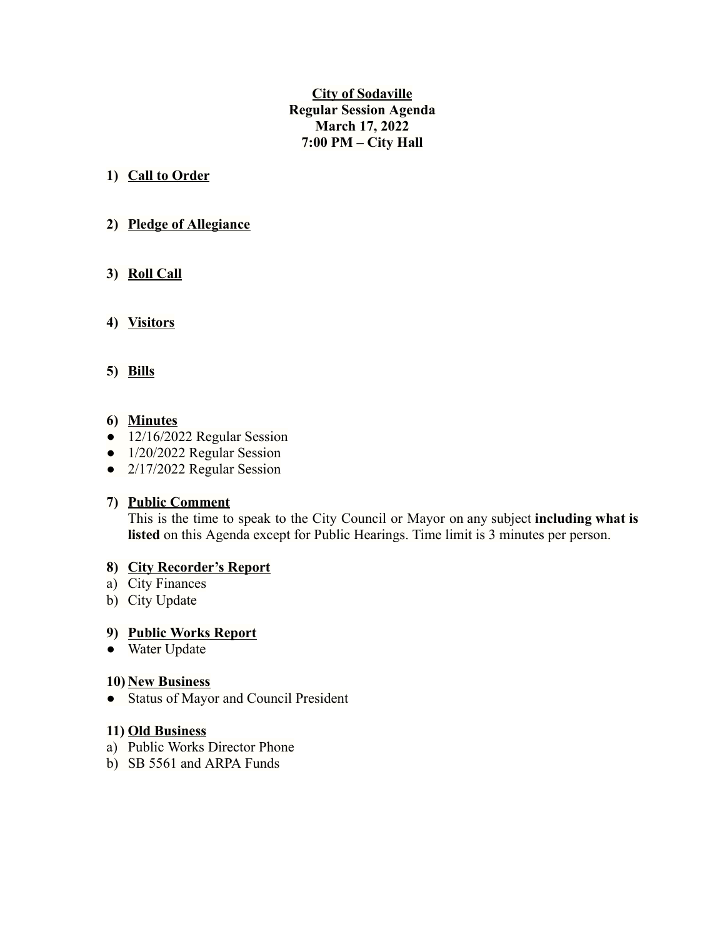**City of Sodaville Regular Session Agenda March 17, 2022 7:00 PM – City Hall**

# **1) Call to Order**

# **2) Pledge of Allegiance**

# **3) Roll Call**

# **4) Visitors**

## **5) Bills**

## **6) Minutes**

- 12/16/2022 Regular Session
- 1/20/2022 Regular Session
- 2/17/2022 Regular Session

## **7) Public Comment**

This is the time to speak to the City Council or Mayor on any subject **including what is listed** on this Agenda except for Public Hearings. Time limit is 3 minutes per person.

## **8) City Recorder's Report**

- a) City Finances
- b) City Update

## **9) Public Works Report**

● Water Update

## **10) New Business**

● Status of Mayor and Council President

## **11) Old Business**

- a) Public Works Director Phone
- b) SB 5561 and ARPA Funds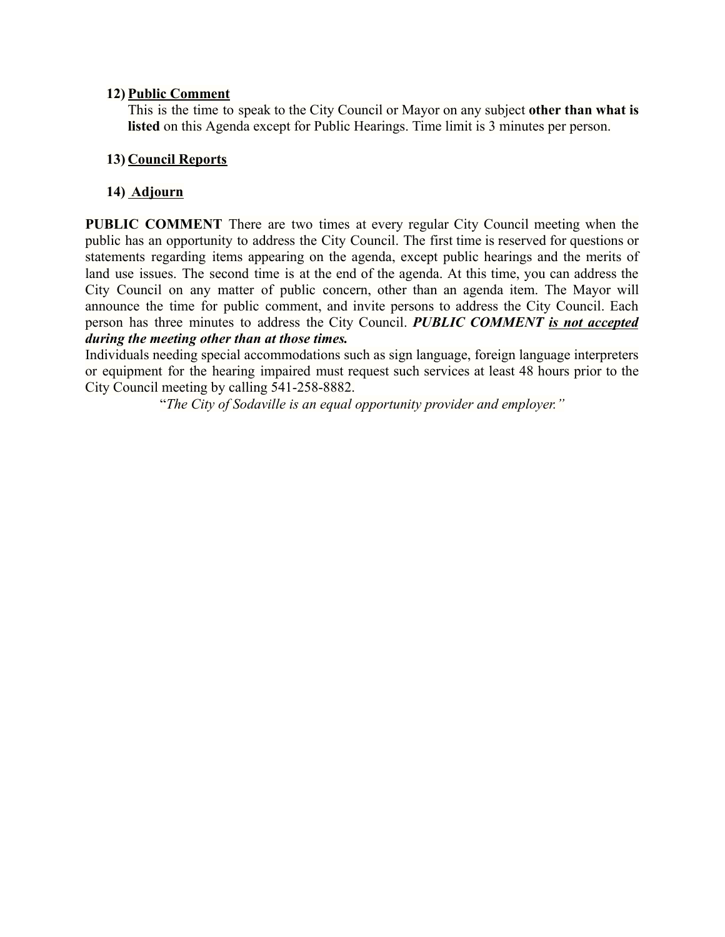## **12) Public Comment**

This is the time to speak to the City Council or Mayor on any subject **other than what is listed** on this Agenda except for Public Hearings. Time limit is 3 minutes per person.

# **13) Council Reports**

# **14) Adjourn**

**PUBLIC COMMENT** There are two times at every regular City Council meeting when the public has an opportunity to address the City Council. The first time is reserved for questions or statements regarding items appearing on the agenda, except public hearings and the merits of land use issues. The second time is at the end of the agenda. At this time, you can address the City Council on any matter of public concern, other than an agenda item. The Mayor will announce the time for public comment, and invite persons to address the City Council. Each person has three minutes to address the City Council. *PUBLIC COMMENT is not accepted during the meeting other than at those times.*

Individuals needing special accommodations such as sign language, foreign language interpreters or equipment for the hearing impaired must request such services at least 48 hours prior to the City Council meeting by calling 541-258-8882.

"*The City of Sodaville is an equal opportunity provider and employer."*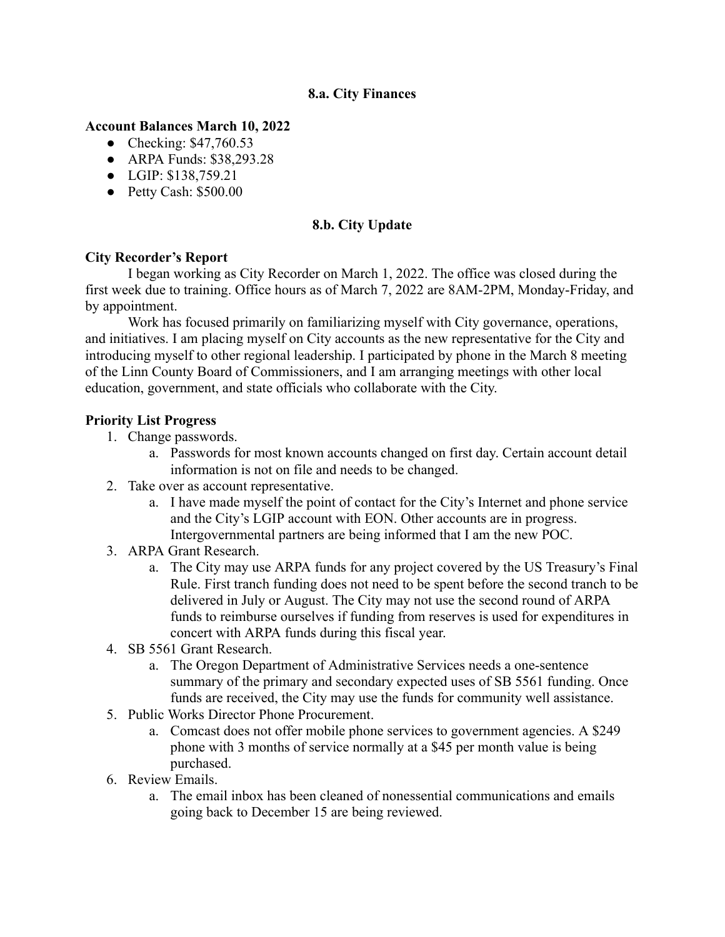## **8.a. City Finances**

## **Account Balances March 10, 2022**

- Checking: \$47,760.53
- ARPA Funds: \$38,293.28
- LGIP: \$138,759.21
- Petty Cash: \$500.00

# **8.b. City Update**

## **City Recorder's Report**

I began working as City Recorder on March 1, 2022. The office was closed during the first week due to training. Office hours as of March 7, 2022 are 8AM-2PM, Monday-Friday, and by appointment.

Work has focused primarily on familiarizing myself with City governance, operations, and initiatives. I am placing myself on City accounts as the new representative for the City and introducing myself to other regional leadership. I participated by phone in the March 8 meeting of the Linn County Board of Commissioners, and I am arranging meetings with other local education, government, and state officials who collaborate with the City.

## **Priority List Progress**

- 1. Change passwords.
	- a. Passwords for most known accounts changed on first day. Certain account detail information is not on file and needs to be changed.
- 2. Take over as account representative.
	- a. I have made myself the point of contact for the City's Internet and phone service and the City's LGIP account with EON. Other accounts are in progress. Intergovernmental partners are being informed that I am the new POC.
- 3. ARPA Grant Research.
	- a. The City may use ARPA funds for any project covered by the US Treasury's Final Rule. First tranch funding does not need to be spent before the second tranch to be delivered in July or August. The City may not use the second round of ARPA funds to reimburse ourselves if funding from reserves is used for expenditures in concert with ARPA funds during this fiscal year.
- 4. SB 5561 Grant Research.
	- a. The Oregon Department of Administrative Services needs a one-sentence summary of the primary and secondary expected uses of SB 5561 funding. Once funds are received, the City may use the funds for community well assistance.
- 5. Public Works Director Phone Procurement.
	- a. Comcast does not offer mobile phone services to government agencies. A \$249 phone with 3 months of service normally at a \$45 per month value is being purchased.
- 6. Review Emails.
	- a. The email inbox has been cleaned of nonessential communications and emails going back to December 15 are being reviewed.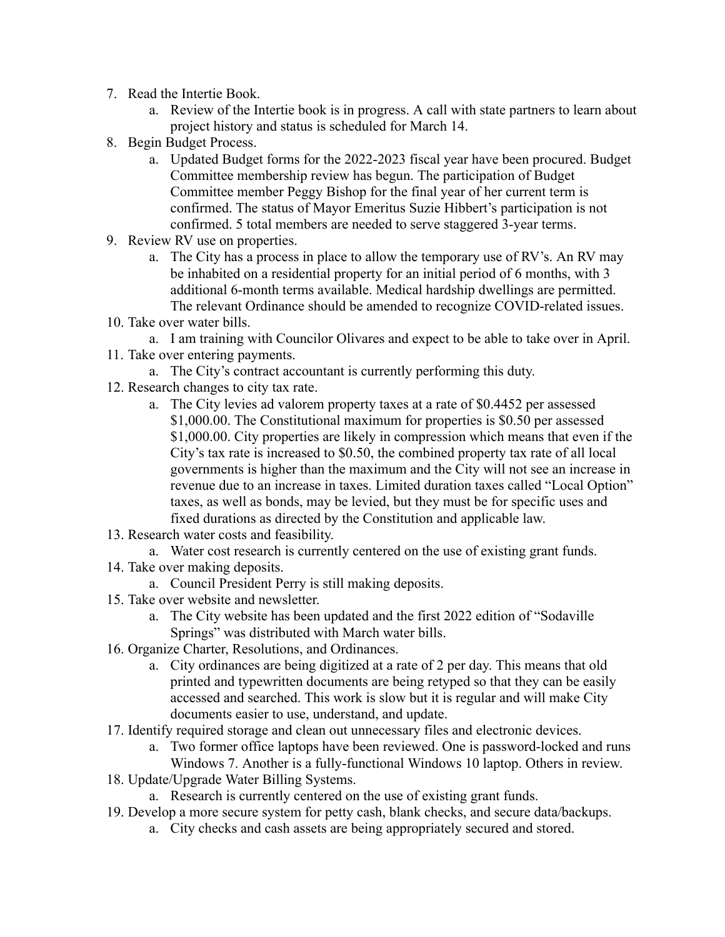- 7. Read the Intertie Book.
	- a. Review of the Intertie book is in progress. A call with state partners to learn about project history and status is scheduled for March 14.
- 8. Begin Budget Process.
	- a. Updated Budget forms for the 2022-2023 fiscal year have been procured. Budget Committee membership review has begun. The participation of Budget Committee member Peggy Bishop for the final year of her current term is confirmed. The status of Mayor Emeritus Suzie Hibbert's participation is not confirmed. 5 total members are needed to serve staggered 3-year terms.
- 9. Review RV use on properties.
	- a. The City has a process in place to allow the temporary use of RV's. An RV may be inhabited on a residential property for an initial period of 6 months, with 3 additional 6-month terms available. Medical hardship dwellings are permitted. The relevant Ordinance should be amended to recognize COVID-related issues.
- 10. Take over water bills.

a. I am training with Councilor Olivares and expect to be able to take over in April.

- 11. Take over entering payments.
	- a. The City's contract accountant is currently performing this duty.
- 12. Research changes to city tax rate.
	- a. The City levies ad valorem property taxes at a rate of \$0.4452 per assessed \$1,000.00. The Constitutional maximum for properties is \$0.50 per assessed \$1,000.00. City properties are likely in compression which means that even if the City's tax rate is increased to \$0.50, the combined property tax rate of all local governments is higher than the maximum and the City will not see an increase in revenue due to an increase in taxes. Limited duration taxes called "Local Option" taxes, as well as bonds, may be levied, but they must be for specific uses and fixed durations as directed by the Constitution and applicable law.
- 13. Research water costs and feasibility.

a. Water cost research is currently centered on the use of existing grant funds.

- 14. Take over making deposits.
	- a. Council President Perry is still making deposits.
- 15. Take over website and newsletter.
	- a. The City website has been updated and the first 2022 edition of "Sodaville Springs" was distributed with March water bills.
- 16. Organize Charter, Resolutions, and Ordinances.
	- a. City ordinances are being digitized at a rate of 2 per day. This means that old printed and typewritten documents are being retyped so that they can be easily accessed and searched. This work is slow but it is regular and will make City documents easier to use, understand, and update.
- 17. Identify required storage and clean out unnecessary files and electronic devices.
	- a. Two former office laptops have been reviewed. One is password-locked and runs Windows 7. Another is a fully-functional Windows 10 laptop. Others in review.
- 18. Update/Upgrade Water Billing Systems.

a. Research is currently centered on the use of existing grant funds.

- 19. Develop a more secure system for petty cash, blank checks, and secure data/backups.
	- a. City checks and cash assets are being appropriately secured and stored.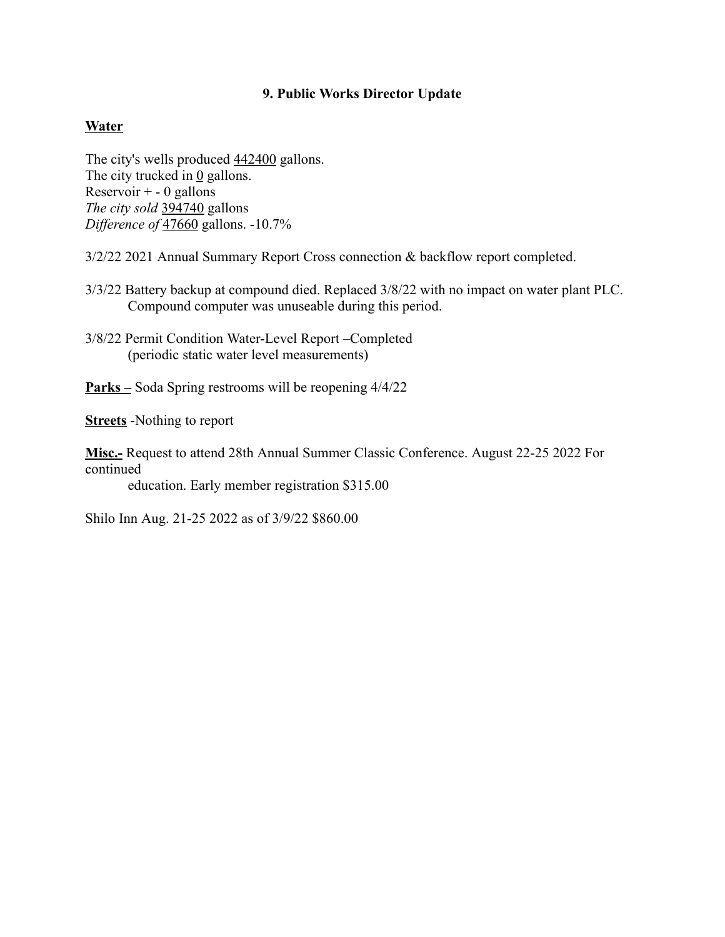## **9. Public Works Director Update**

## **Water**

The city's wells produced  $442400$  gallons. The city trucked in  $\underline{0}$  gallons. Reservoir  $+ - 0$  gallons *The city sold* 394740 gallons *Difference of* 47660 gallons. -10.7%

3/2/22 2021 Annual Summary Report Cross connection & backflow report completed.

- 3/3/22 Battery backup at compound died. Replaced 3/8/22 with no impact on water plant PLC. Compound computer was unuseable during this period.
- 3/8/22 Permit Condition Water-Level Report –Completed (periodic static water level measurements)
- **Parks –** Soda Spring restrooms will be reopening 4/4/22

**Streets** -Nothing to report

**Misc.-** Request to attend 28th Annual Summer Classic Conference. August 22-25 2022 For continued

education. Early member registration \$315.00

Shilo Inn Aug. 21-25 2022 as of 3/9/22 \$860.00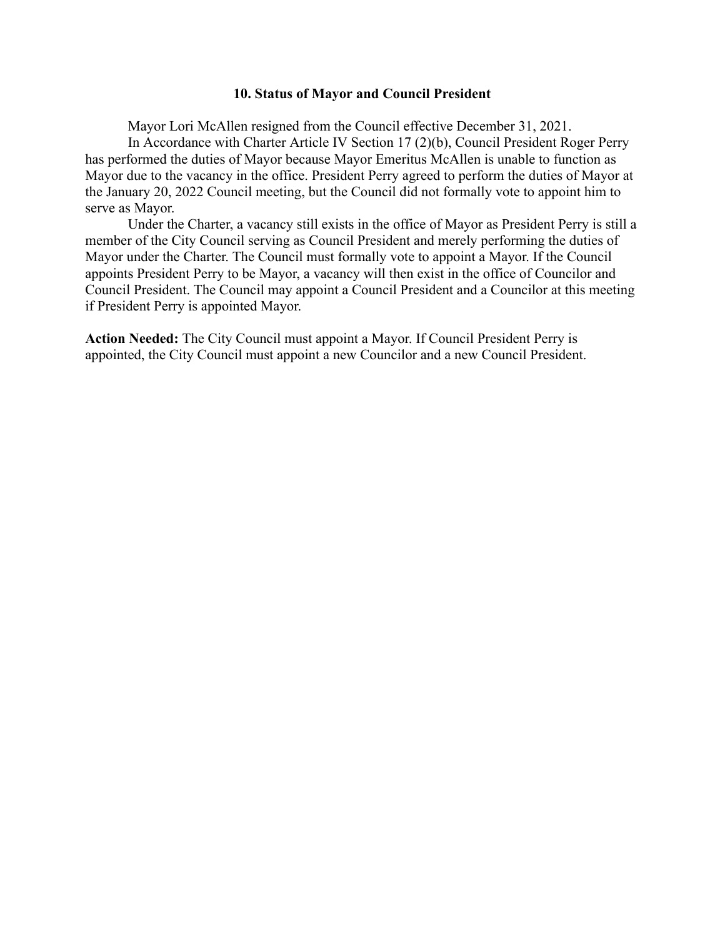#### **10. Status of Mayor and Council President**

Mayor Lori McAllen resigned from the Council effective December 31, 2021. In Accordance with Charter Article IV Section 17 (2)(b), Council President Roger Perry has performed the duties of Mayor because Mayor Emeritus McAllen is unable to function as Mayor due to the vacancy in the office. President Perry agreed to perform the duties of Mayor at the January 20, 2022 Council meeting, but the Council did not formally vote to appoint him to serve as Mayor.

Under the Charter, a vacancy still exists in the office of Mayor as President Perry is still a member of the City Council serving as Council President and merely performing the duties of Mayor under the Charter. The Council must formally vote to appoint a Mayor. If the Council appoints President Perry to be Mayor, a vacancy will then exist in the office of Councilor and Council President. The Council may appoint a Council President and a Councilor at this meeting if President Perry is appointed Mayor.

**Action Needed:** The City Council must appoint a Mayor. If Council President Perry is appointed, the City Council must appoint a new Councilor and a new Council President.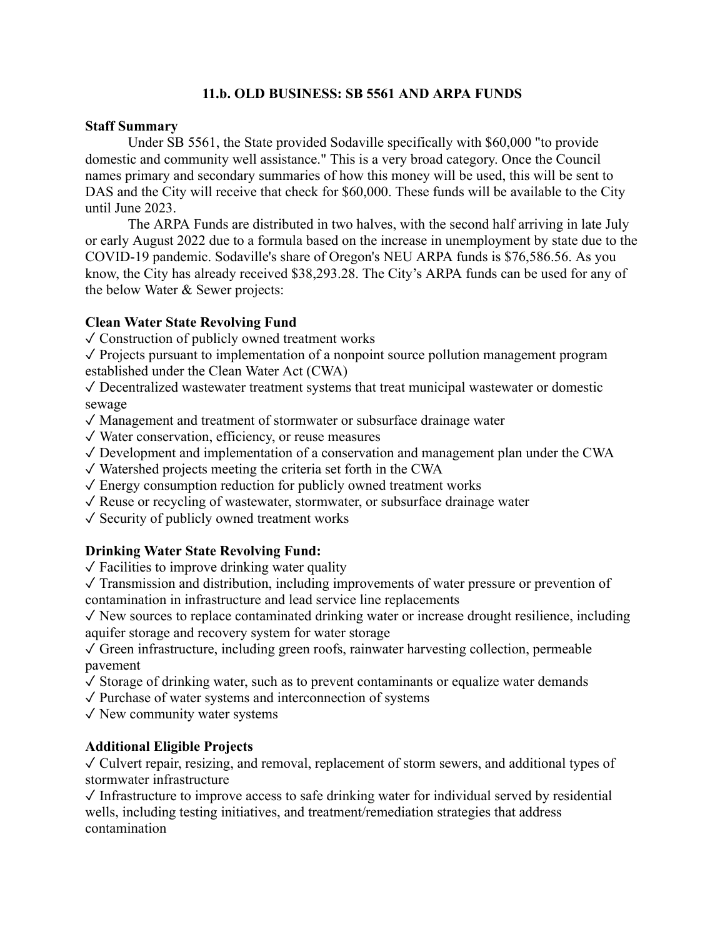# **11.b. OLD BUSINESS: SB 5561 AND ARPA FUNDS**

#### **Staff Summary**

Under SB 5561, the State provided Sodaville specifically with \$60,000 "to provide domestic and community well assistance." This is a very broad category. Once the Council names primary and secondary summaries of how this money will be used, this will be sent to DAS and the City will receive that check for \$60,000. These funds will be available to the City until June 2023.

The ARPA Funds are distributed in two halves, with the second half arriving in late July or early August 2022 due to a formula based on the increase in unemployment by state due to the COVID-19 pandemic. Sodaville's share of Oregon's NEU ARPA funds is \$76,586.56. As you know, the City has already received \$38,293.28. The City's ARPA funds can be used for any of the below Water & Sewer projects:

## **Clean Water State Revolving Fund**

✓ Construction of publicly owned treatment works

 $\sqrt{\frac{1}{\pi}}$  Projects pursuant to implementation of a nonpoint source pollution management program established under the Clean Water Act (CWA)

✓ Decentralized wastewater treatment systems that treat municipal wastewater or domestic sewage

✓ Management and treatment of stormwater or subsurface drainage water

- ✓ Water conservation, efficiency, or reuse measures
- $\sqrt{\frac{1}{2}}$  Development and implementation of a conservation and management plan under the CWA
- $\sqrt{\frac{1}{2}}$  Watershed projects meeting the criteria set forth in the CWA
- $\sqrt{\frac{1}{2}}$  Energy consumption reduction for publicly owned treatment works
- $\sqrt{\ }$  Reuse or recycling of wastewater, stormwater, or subsurface drainage water
- $\sqrt{\ }$  Security of publicly owned treatment works

## **Drinking Water State Revolving Fund:**

 $\sqrt{\frac{1}{2}}$  Facilities to improve drinking water quality

 $\sqrt{\ }$  Transmission and distribution, including improvements of water pressure or prevention of contamination in infrastructure and lead service line replacements

 $\sqrt{\ }$  New sources to replace contaminated drinking water or increase drought resilience, including aquifer storage and recovery system for water storage

 $\sqrt{\frac{1}{2}}$  Green infrastructure, including green roofs, rainwater harvesting collection, permeable pavement

 $\sqrt{\ }$  Storage of drinking water, such as to prevent contaminants or equalize water demands

✓ Purchase of water systems and interconnection of systems

 $\sqrt{\ }$  New community water systems

## **Additional Eligible Projects**

 $\sqrt{\frac{1}{\sqrt{\pi}}}$  Culvert repair, resizing, and removal, replacement of storm sewers, and additional types of stormwater infrastructure

 $\sqrt{\ }$  Infrastructure to improve access to safe drinking water for individual served by residential wells, including testing initiatives, and treatment/remediation strategies that address contamination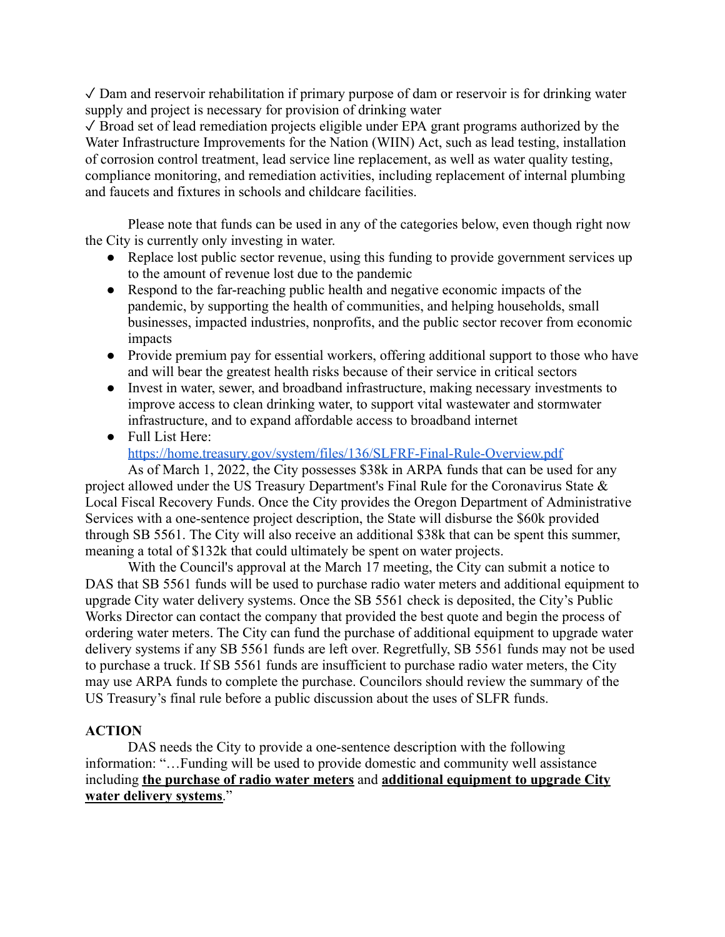$\sqrt{D}$  Dam and reservoir rehabilitation if primary purpose of dam or reservoir is for drinking water supply and project is necessary for provision of drinking water

 $\sqrt{\frac{1}{2}}$  Broad set of lead remediation projects eligible under EPA grant programs authorized by the Water Infrastructure Improvements for the Nation (WIIN) Act, such as lead testing, installation of corrosion control treatment, lead service line replacement, as well as water quality testing, compliance monitoring, and remediation activities, including replacement of internal plumbing and faucets and fixtures in schools and childcare facilities.

Please note that funds can be used in any of the categories below, even though right now the City is currently only investing in water.

- Replace lost public sector revenue, using this funding to provide government services up to the amount of revenue lost due to the pandemic
- Respond to the far-reaching public health and negative economic impacts of the pandemic, by supporting the health of communities, and helping households, small businesses, impacted industries, nonprofits, and the public sector recover from economic impacts
- Provide premium pay for essential workers, offering additional support to those who have and will bear the greatest health risks because of their service in critical sectors
- Invest in water, sewer, and broadband infrastructure, making necessary investments to improve access to clean drinking water, to support vital wastewater and stormwater infrastructure, and to expand affordable access to broadband internet
- Full List Here: <https://home.treasury.gov/system/files/136/SLFRF-Final-Rule-Overview.pdf>

As of March 1, 2022, the City possesses \$38k in ARPA funds that can be used for any project allowed under the US Treasury Department's Final Rule for the Coronavirus State & Local Fiscal Recovery Funds. Once the City provides the Oregon Department of Administrative Services with a one-sentence project description, the State will disburse the \$60k provided through SB 5561. The City will also receive an additional \$38k that can be spent this summer, meaning a total of \$132k that could ultimately be spent on water projects.

With the Council's approval at the March 17 meeting, the City can submit a notice to DAS that SB 5561 funds will be used to purchase radio water meters and additional equipment to upgrade City water delivery systems. Once the SB 5561 check is deposited, the City's Public Works Director can contact the company that provided the best quote and begin the process of ordering water meters. The City can fund the purchase of additional equipment to upgrade water delivery systems if any SB 5561 funds are left over. Regretfully, SB 5561 funds may not be used to purchase a truck. If SB 5561 funds are insufficient to purchase radio water meters, the City may use ARPA funds to complete the purchase. Councilors should review the summary of the US Treasury's final rule before a public discussion about the uses of SLFR funds.

# **ACTION**

DAS needs the City to provide a one-sentence description with the following information: "…Funding will be used to provide domestic and community well assistance including **the purchase of radio water meters** and **additional equipment to upgrade City water delivery systems**."